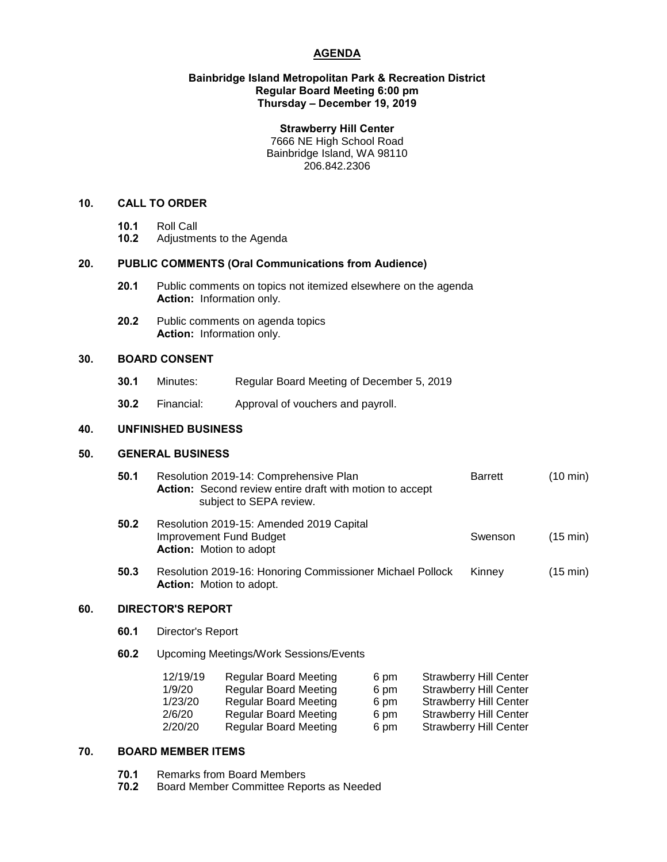# **AGENDA**

#### **Bainbridge Island Metropolitan Park & Recreation District Regular Board Meeting 6:00 pm Thursday – December 19, 2019**

#### **Strawberry Hill Center**

7666 NE High School Road Bainbridge Island, WA 98110 206.842.2306

## **10. CALL TO ORDER**

- 
- **10.1** Roll Call **10.2** Adjustments to the Agenda

# **20. PUBLIC COMMENTS (Oral Communications from Audience)**

- **20.1** Public comments on topics not itemized elsewhere on the agenda **Action:** Information only.
- **20.2** Public comments on agenda topics **Action:** Information only.

# **30. BOARD CONSENT**

- **30.1** Minutes: Regular Board Meeting of December 5, 2019
- **30.2** Financial: Approval of vouchers and payroll.

#### **40. UNFINISHED BUSINESS**

#### **50. GENERAL BUSINESS**

| 50.1 | Resolution 2019-14: Comprehensive Plan<br>Action: Second review entire draft with motion to accept<br>subject to SEPA review. | <b>Barrett</b> | $(10 \text{ min})$ |
|------|-------------------------------------------------------------------------------------------------------------------------------|----------------|--------------------|
| 50.2 | Resolution 2019-15: Amended 2019 Capital<br><b>Improvement Fund Budget</b><br><b>Action:</b> Motion to adopt                  | Swenson        | $(15 \text{ min})$ |
| 50.3 | Resolution 2019-16: Honoring Commissioner Michael Pollock<br><b>Action:</b> Motion to adopt.                                  | Kinney         | $(15 \text{ min})$ |

## **60. DIRECTOR'S REPORT**

- **60.1** Director's Report
- **60.2** Upcoming Meetings/Work Sessions/Events

| 12/19/19 | <b>Regular Board Meeting</b> | 6 pm | <b>Strawberry Hill Center</b> |
|----------|------------------------------|------|-------------------------------|
| 1/9/20   | <b>Regular Board Meeting</b> | 6 pm | <b>Strawberry Hill Center</b> |
| 1/23/20  | <b>Regular Board Meeting</b> | 6 pm | <b>Strawberry Hill Center</b> |
| 2/6/20   | <b>Regular Board Meeting</b> | 6 pm | <b>Strawberry Hill Center</b> |
| 2/20/20  | <b>Regular Board Meeting</b> | 6 pm | <b>Strawberry Hill Center</b> |

# **70. BOARD MEMBER ITEMS**

- **70.1** Remarks from Board Members<br>**70.2** Board Member Committee Rep
- **70.2** Board Member Committee Reports as Needed